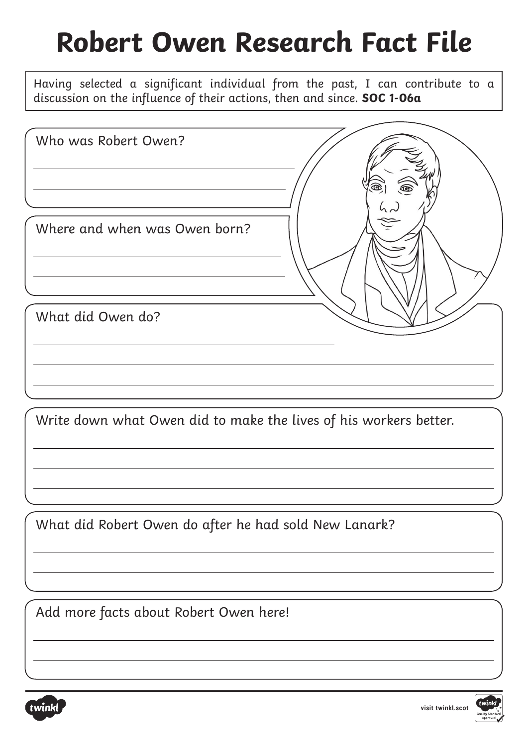## **Robert Owen Research Fact File**

Having selected a significant individual from the past, I can contribute to a discussion on the influence of their actions, then and since. **SOC 1-06a**

| Who was Robert Owen?          |  |
|-------------------------------|--|
|                               |  |
| Where and when was Owen born? |  |
| What did Owen do?             |  |
|                               |  |

Write down what Owen did to make the lives of his workers better.

What did Robert Owen do after he had sold New Lanark?

Add more facts about Robert Owen here!